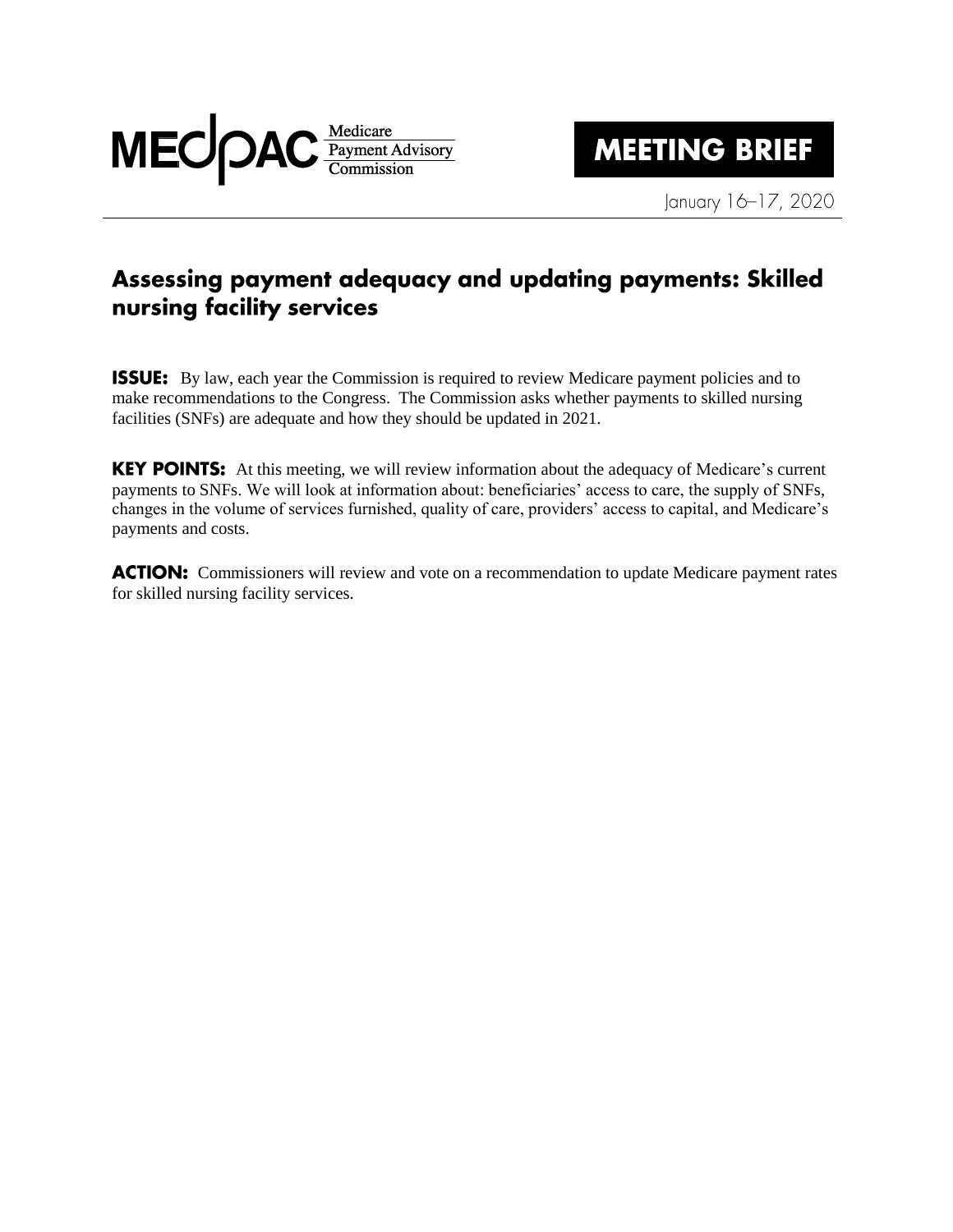

January 16-17, 2020

## Assessing payment adequacy and updating payments: Skilled nursing facility services

**ISSUE:** By law, each year the Commission is required to review Medicare payment policies and to make recommendations to the Congress. The Commission asks whether payments to skilled nursing facilities (SNFs) are adequate and how they should be updated in 2021.

KEY POINTS: At this meeting, we will review information about the adequacy of Medicare's current payments to SNFs. We will look at information about: beneficiaries' access to care, the supply of SNFs, changes in the volume of services furnished, quality of care, providers' access to capital, and Medicare's payments and costs.

**ACTION:** Commissioners will review and vote on a recommendation to update Medicare payment rates for skilled nursing facility services.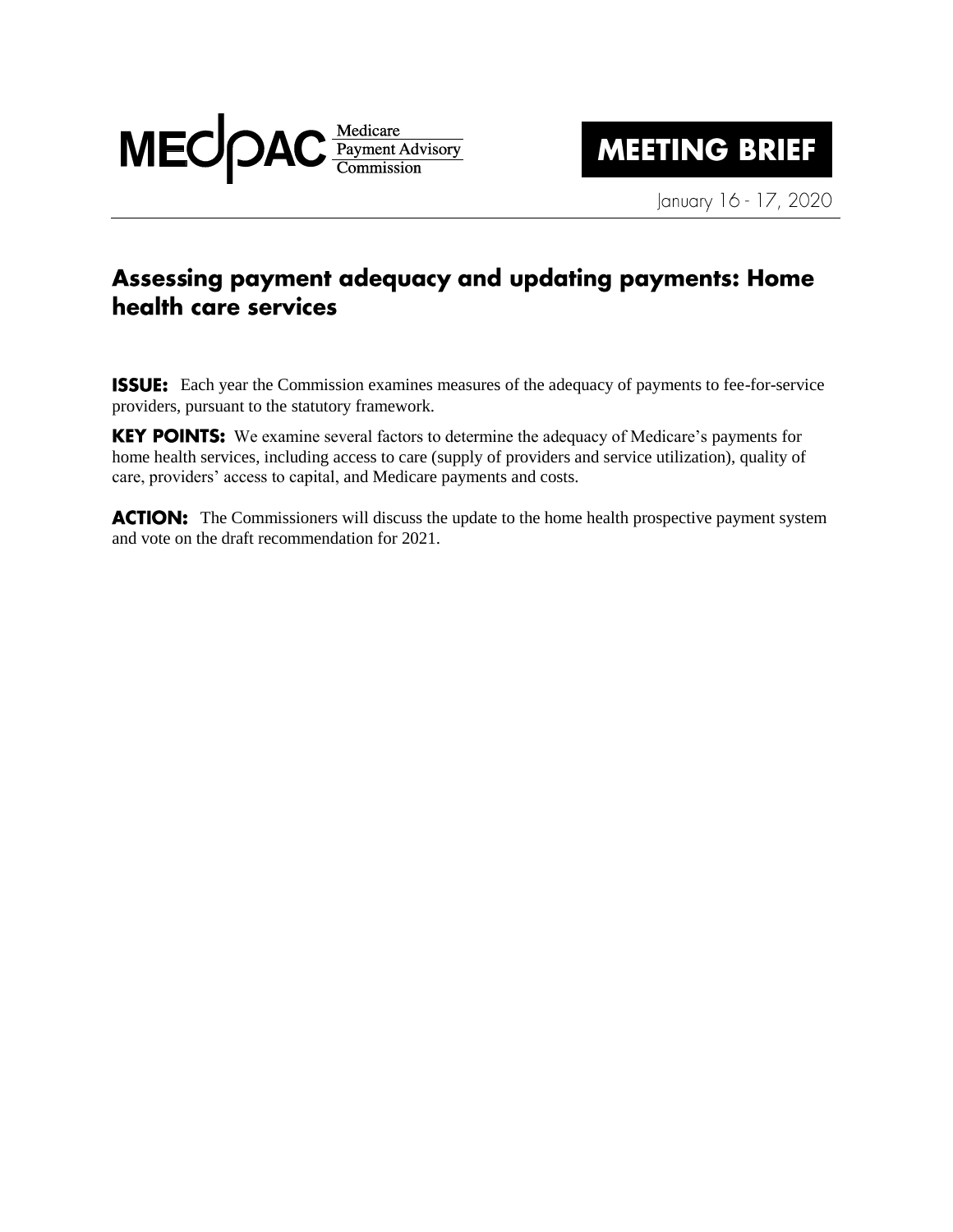

January 16 - 17, 2020

## Assessing payment adequacy and updating payments: Home health care services

**ISSUE:** Each year the Commission examines measures of the adequacy of payments to fee-for-service providers, pursuant to the statutory framework.

KEY POINTS: We examine several factors to determine the adequacy of Medicare's payments for home health services, including access to care (supply of providers and service utilization), quality of care, providers' access to capital, and Medicare payments and costs.

**ACTION:** The Commissioners will discuss the update to the home health prospective payment system and vote on the draft recommendation for 2021.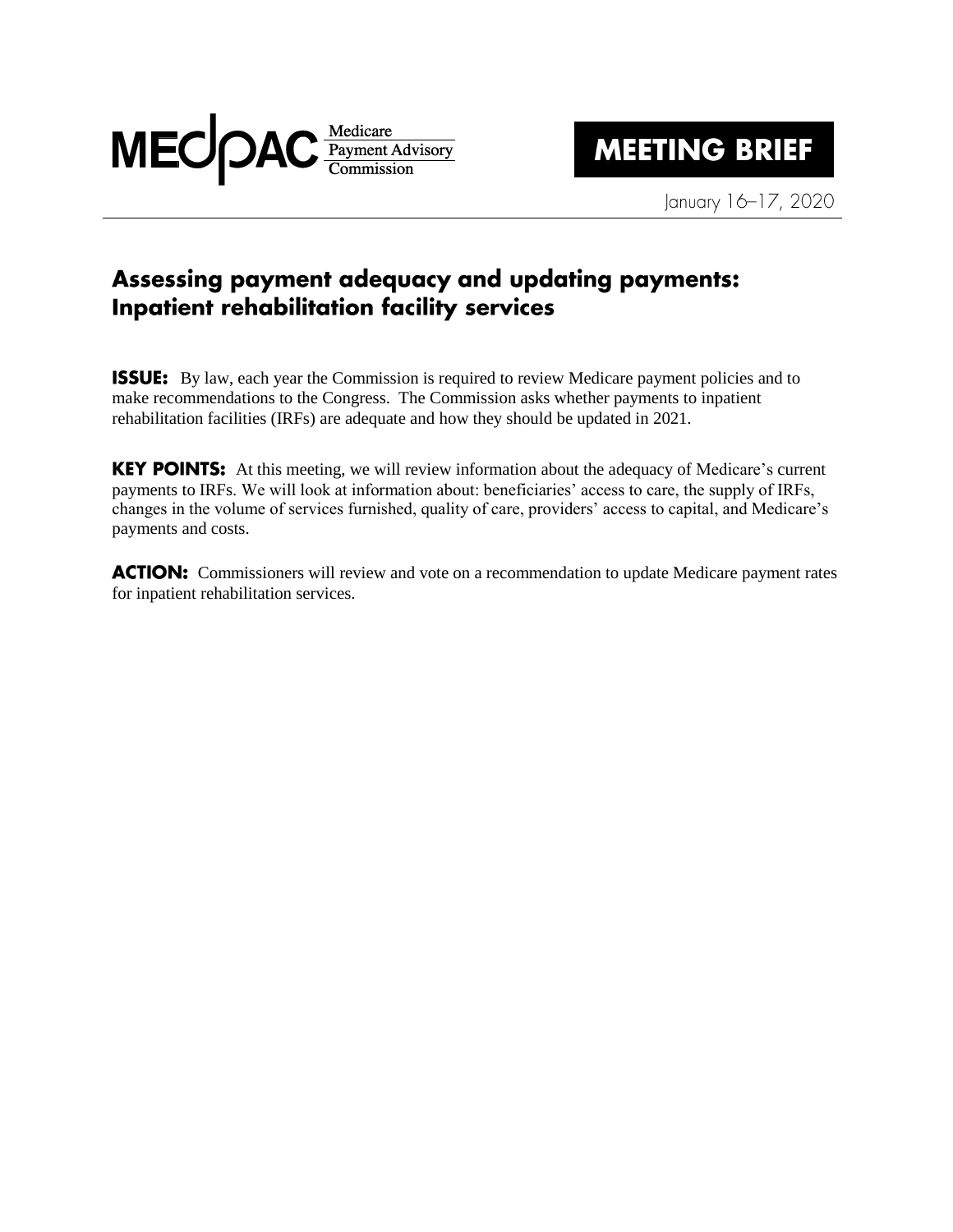

January 16-17, 2020

## Assessing payment adequacy and updating payments: Inpatient rehabilitation facility services

**ISSUE:** By law, each year the Commission is required to review Medicare payment policies and to make recommendations to the Congress. The Commission asks whether payments to inpatient rehabilitation facilities (IRFs) are adequate and how they should be updated in 2021.

KEY POINTS: At this meeting, we will review information about the adequacy of Medicare's current payments to IRFs. We will look at information about: beneficiaries' access to care, the supply of IRFs, changes in the volume of services furnished, quality of care, providers' access to capital, and Medicare's payments and costs.

**ACTION:** Commissioners will review and vote on a recommendation to update Medicare payment rates for inpatient rehabilitation services.